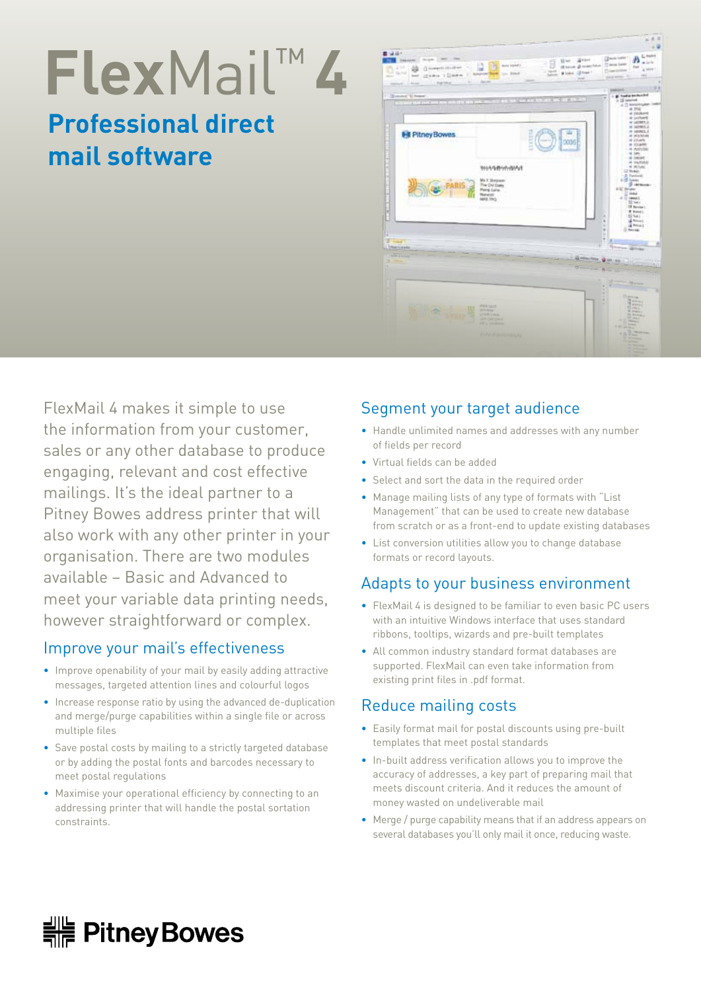# **Flex**Mail™ **4**

## **Professional direct mail software**



FlexMail 4 makes it simple to use the information from your customer, sales or any other database to produce engaging, relevant and cost effective mailings. It's the ideal partner to a Pitney Bowes address printer that will also work with any other printer in your organisation. There are two modules available – Basic and Advanced to meet your variable data printing needs, however straightforward or complex.

#### Improve your mail's effectiveness

- Improve openability of your mail by easily adding attractive messages, targeted attention lines and colourful logos
- Increase response ratio by using the advanced de-duplication and merge/purge capabilities within a single file or across multiple files
- Save postal costs by mailing to a strictly targeted database or by adding the postal fonts and barcodes necessary to meet postal regulations
- Maximise your operational efficiency by connecting to an addressing printer that will handle the postal sortation constraints.

### Segment your target audience

- Handle unlimited names and addresses with any number of fields per record
- Virtual fields can be added
- Select and sort the data in the required order
- Manage mailing lists of any type of formats with "List Management" that can be used to create new database from scratch or as a front-end to update existing databases
- List conversion utilities allow you to change database formats or record layouts.

#### Adapts to your business environment

- FlexMail 4 is designed to be familiar to even basic PC users with an intuitive Windows interface that uses standard ribbons, tooltips, wizards and pre-built templates
- All common industry standard format databases are supported. FlexMail can even take information from existing print files in .pdf format.

#### Reduce mailing costs

- Easily format mail for postal discounts using pre-built templates that meet postal standards
- In-built address verification allows you to improve the accuracy of addresses, a key part of preparing mail that meets discount criteria. And it reduces the amount of money wasted on undeliverable mail
- Merge / purge capability means that if an address appears on several databases you'll only mail it once, reducing waste.